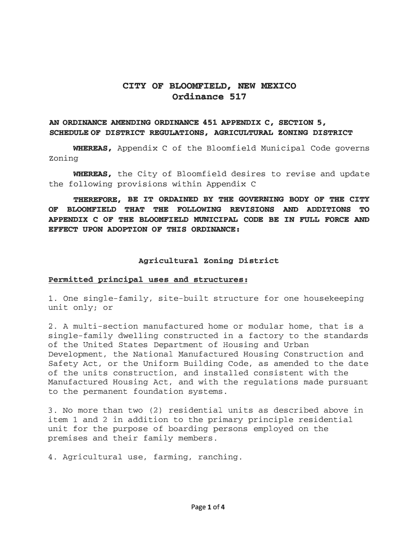# **CITY OF BLOOMFIELD, NEW MEXICO Ordinance 517**

# **AN ORDINANCE AMENDING ORDINANCE 451 APPENDIX C, SECTION 5, SCHEDULE OF DISTRICT REGULATIONS, AGRICULTURAL ZONING DISTRICT**

**WHEREAS,** Appendix C of the Bloomfield Municipal Code governs Zoning

**WHEREAS,** the City of Bloomfield desires to revise and update the following provisions within Appendix C

# **THEREFORE, BE IT ORDAINED BY THE GOVERNING BODY OF THE CITY OF BLOOMFIELD THAT THE FOLLOWING REVISIONS AND ADDITIONS TO APPENDIX C OF THE BLOOMFIELD MUNICIPAL CODE BE IN FULL FORCE AND EFFECT UPON ADOPTION OF THIS ORDINANCE:**

### **Agricultural zoning District**

### **Permitted principal uses and structures:**

1. One single-family, site-built structure for one housekeeping unit only; or

2. A multi-section manufactured home or modular home, that is a single-family dwelling constructed in a factory to the standards of the United States Department of Housing and Urban Development, the National Manufactured Housing Construction and Safety Act, or the Uniform Building Code, as amended to the date of the units construction, and installed consistent with the Manufactured Housing Act, and with the regulations made pursuant to the permanent foundation systems.

3. No more than two (2) residential units as described above in item 1 and 2 in addition to the primary principle residential unit for the purpose of boarding persons employed on the premises and their family members.

4. Agricultural use, farming, ranching.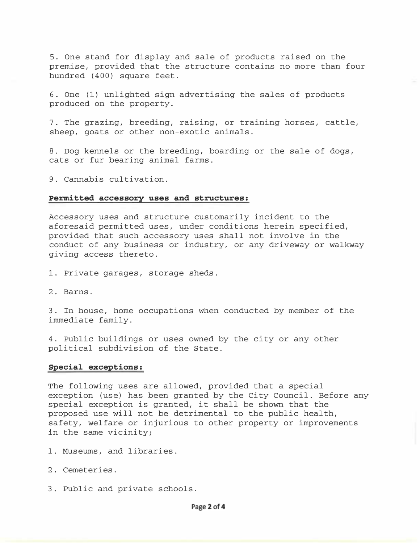5. One stand for display and sale of products raised on the premise, provided that the structure contains no more than four hundred (400) square feet.

6. One (1) unlighted sign advertising the sales of products produced on the property.

7. The grazing, breeding, raising, or training horses, cattle, sheep, goats or other non-exotic animals.

8. Dog kennels or the breeding, boarding or the sale of dogs, cats or fur bearing animal farms.

9. Cannabis cultivation.

### Permitted accessory uses and structures:

Accessory uses and structure customarily incident to the aforesaid permitted uses, under conditions herein specified, provided that such accessory uses shall not involve in the conduct of any business or industry, or any driveway or walkway giving access thereto.

- 1. Private garages, storage sheds.
- 2. Barns.

3. In house, home occupations when conducted by member of the immediate family.

4. Public buildings or uses owned by the city or any other political subdivision of the State.

### Special exceptions:

The following uses are allowed, provided that a special exception (use) has been granted by the City Council. Before any special exception is granted, it shall be shown that the proposed use will not be detrimental to the public health, safety, welfare or injurious to other property or improvements in the same vicinity;

- 1. Museums, and libraries.
- 2. Cemeteries.
- 3. Public and private schools.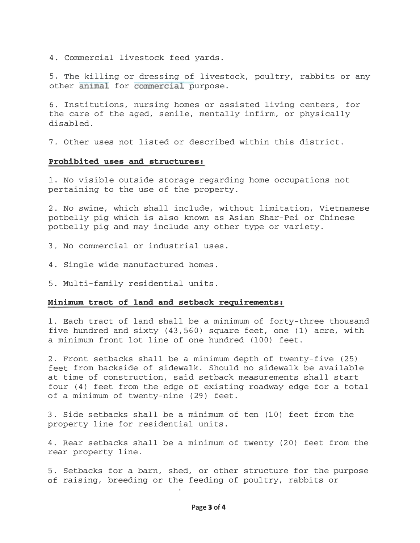4. Commercial livestock feed yards.

5. The killing or dressing of livestock, poultry, rabbits or any other animal for commercial purpose.

6. Institutions, nursing homes or assisted living centers, for the care of the aged, senile, mentally infirm, or physically disabled.

7. Other uses not listed or described within this district.

### Prohibited uses and structures:

1. No visible outside storage regarding home occupations not pertaining to the use of the property.

2. No swine, which shall include, without limitation, Vietnamese potbelly pig which is also known as Asian Shar-Pei or Chinese potbelly pig and may include any other type or variety.

- 3. No commercial or industrial uses.
- 4. Single wide manufactured homes.
- 5. Multi-family residential units.

### Minimum tract of land and setback requirements:

1. Each tract of land shall be a minimum of forty-three thousand five hundred and sixty  $(43,560)$  square feet, one  $(1)$  acre, with a minimum front lot line of one hundred (100) feet.

2. Front setbacks shall be a minimum depth of twenty-five (25) feet from backside of sidewalk. Should no sidewalk be available at time of construction, said setback measurements shall start four (4) feet from the edge of existing roadway edge for a total of a minimum of twenty-nine (29) feet.

3. Side setbacks shall be a minimum of ten (10) feet from the property line for residential units.

4. Rear setbacks shall be a minimum of twenty (20) feet from the rear property line.

5. Setbacks for a barn, shed, or other structure for the purpose of raising, breeding or the feeding of poultry, rabbits or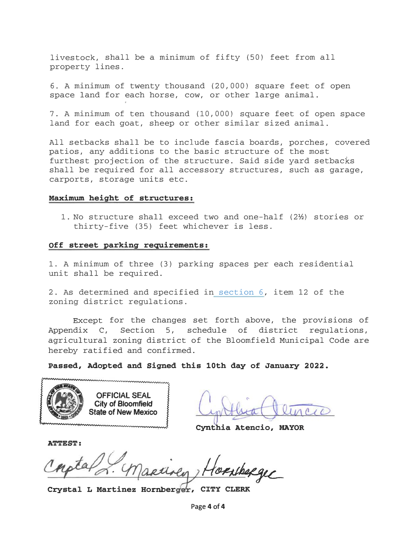livestock, shall be a minimum of fifty (50) feet from all property lines.

6. A minimum of twenty thousand (20,000) square feet of open space land for each horse, cow, or other large animal.

7. A minimum of ten thousand (10,000) square feet of open space land for each goat, sheep or other similar sized animal.

All setbacks shall be to include fascia boards, porches, covered patios, any additions to the basic structure of the most furthest projection of the structure. Said side yard setbacks shall be required for all accessory structures, such as garage, carports, storage units etc.

### Maximum height of structures:

1. No structure shall exceed two and one-half  $(2<sup>1</sup>/<sub>2</sub>)$  stories or thirty-five (35) feet whichever is less.

### Off street parking requirements:

1. A minimum of three (3) parking spaces per each residential unit shall be required.

2. As determined and specified in section 6, item 12 of the zoning district regulations.

Except for the changes set forth above, the provisions of Appendix C, Section 5, schedule of district regulations, agricultural zoning district of the Bloomfield Municipal Code are hereby ratified and confirmed.

Passed, Adopted and Signed this 10th day of January 2022.



applica aluncio

Cynthia Atencio, MAYOR

ATTEST:

 $\partial f$ 

Crystal L Martinez Hornberger, CITY CLERK

Page 4 of 4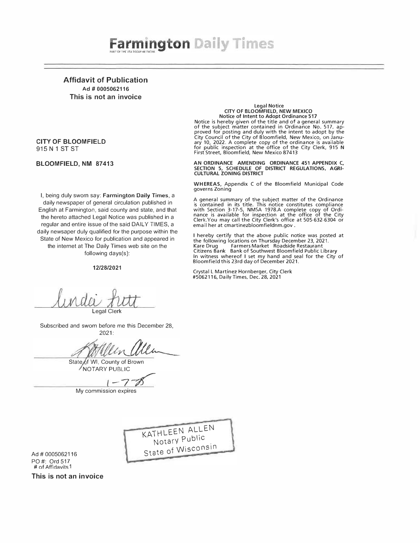# **Farmington Daily Times**

Affidavit of Publication Ad # 0005062116 This is not an invoice

### CITY OF BLOOMFIELD 915 N 1 ST ST

### BLOOMFIELD, NM 87413

I, being duly sworn say: Farmington Daily Times, a daily newspaper of general circulation published in English at Farmington, said county and state, and that the hereto attached Legal Notice was published in a regular and entire issue of the said DAILY TIMES, a daily newsaper duly qualified for the purpose within the State of New Mexico for publication and appeared in the internet at The Daily Times web site on the following days(s):

#### 12/28/2021

# Legal Notice CITY OF BLOOMFIELD, NEW MEXICO

Notice of Intent to Adopt Ordinance 517 Notice is hereby given of the title and of a general summary of the subject matter contained in Ordinance No. 517, approved for posting and duly with the intent to adopt by the City Council of the City of Bloomfield, New Mexico, on January 10, 2022. A complete copy of the ordinance is available<br>for public inspection at the office of the City Clerk, 915 N<br>First Street, Bloomfield, New Mexico 87413

AN ORDINANCE AMENDING ORDINANCE 451 APPENDIX C, SECTION 5, SCHEDULE OF DISTRICT REGULATIONS, AGRI-CULTURAL ZONING DISTRICT

WHEREAS, Appendix C of the Bloomfield Municipal Code governs Zoning

A general summary of the subject matter of the Ordinance is contained in its title. This notice constitutes compliance with Section 3-17-5, NMSA 1978.A complete copy of Ordi-nance is available for inspection at the office of the City Clerk.You may call the City Clerk's office at 505-632-6304 or email her at cmartinezbloomfieldnm.gov.

I hereby certify that the above public notice was posted at the following locations on Thursday December 23, 2021. Kare Drug Farmers Market Roadside Restaurant Citizens Bank Bank of Southwest Bloomfield Public Library In witness whereof I set my hand and seal for the City of Bloomfield this 23rd day of December 2021.

Crystal L Martinez Hornberger, City Clerk #5062116, Daily Times. Dec. 28, 2021

> I }

Legal Clerk

Subscribed and sworn before me this December 28, 2021:

State of WI, County of Brown NOTARY PUBLIC

 $1 - 7 - 8$ 

Q.

My commission expires

KATHLEEN ALLEN Notarv Public Notary<br>State of Wisconsin

Ad# 0005062116 PO#: Ord 517 # of Affidavits 1

This is not an invoice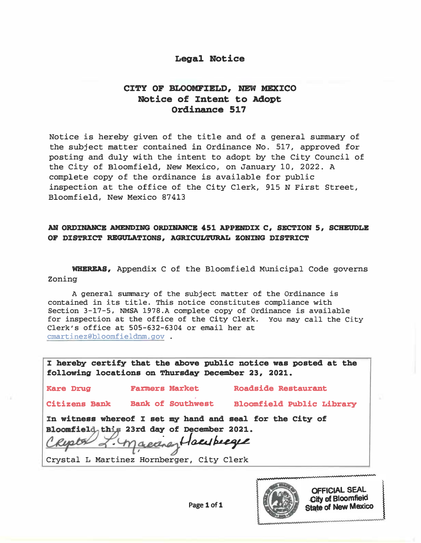# Legal Notice

# CITY OF BLOOMFIELD, MEW MEXICO Notice of Intent to Adopt Ordinance 517

Notice is hereby given of the title and of a general summary of the subject matter contained in Ordinance No. 517, approved for posting and duly with the intent to adopt by the City Council of the City of Bloomfield, New Mexico, on January 10, 2022. A complete copy of the ordinance is available for public inspection at the office of the City Clerk, 915 N First Street, Bloomfield, New Mexico 87413

# AN ORDINANCE AMENDING ORDINANCE 451 APPENDIX C, SECTION 5, SCHEUDLE OF DISTRICT REGULATIONS, AGRICULTURAL ZONING DISTRICT

WHEREAS, Appendix C of the Bloomfield Municipal Code governs Zoning

A general summary of the subject matter of the Ordinance is contained in its title. This notice constitutes compliance with Section 3-17-5, NMSA 1978.A complete copy of Ordinance is available for inspection at the office of the City Clerk. You may call the City Clerk's office at 505-632-6304 or email her at cmartinez@bloomfieldnm.gov .

I hereby certify that the above public notice was posted at the following locations on Thursday December 23, 2021.

Kare Drug **Farmers Market Roadside Restaurant** 

Citizens Bank Bank of Southwest Bloomfield Public Library

In witness whereof I set my hand and seal for the City of ....\_\_\_ -.:... (Yq..:....+-� l-f o.41 I>.·�

In witness whereof I set my hand and seal<br>Bloomfield this 23rd day of December 2021.<br>Crystal L Martinez Hornberger, City Clerk

Crystal L Martinez Hornberger, City Clerk



OFFICIAL SEAL<br>
City of Bloomfield<br>
State of New Mexico .cify ef Bloomfield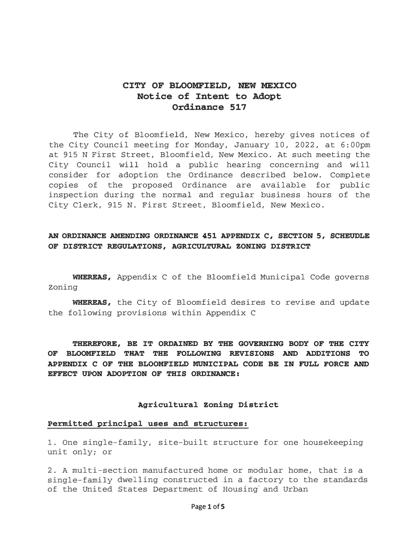# CITY OF BLOOMFIELD, NEW MEXICO Notice of Intent to Adopt Ordinance 517

The City of Bloomfield, New Mexico, hereby gives notices of the City Council meeting for Monday, January 10, 2022, at 6:00pm at 915 N First Street, Bloomfield, New Mexico. At such meeting the City Council will hold a public hearing concerning and will consider for adoption the Ordinance described below. Complete copies of the proposed Ordinance are available for public inspection during the normal and regular business hours of the City Clerk, 915 N. First Street, Bloomfield, New Mexico.

### AN ORDINANCE AMENDING ORDINANCE 451 APPENDIX C, SECTION 5, SCHEUDLE OF DISTRICT REGULATIONS, AGRICULTURAL ZONING DISTRICT

WHEREAS, Appendix C of the Bloomfield Municipal Code governs Zoning

WHEREAS, the City of Bloomfield desires to revise and update the following provisions within Appendix C

THEREFORE, BE IT ORDAINED BY THE GOVERNING BODY OF THE CITY OF BLOOMFIELD THAT THE FOLLOWING REVISIONS AND ADDITIONS TO APPENDIX C OF THE BLOOMFIELD MUNICIPAL CODE BE IN FULL FORCE AND EFFECT UPON ADOPTION OF THIS ORDINANCE:

### Agricultural zoning District

### Permitted principal uses and structures:

1. One single-family, site-built structure for one housekeeping unit only; or

2. A multi-section manufactured home or modular home, that is a single-family dwelling constructed in a factory to the standards of the United States Department of Housing' and Urban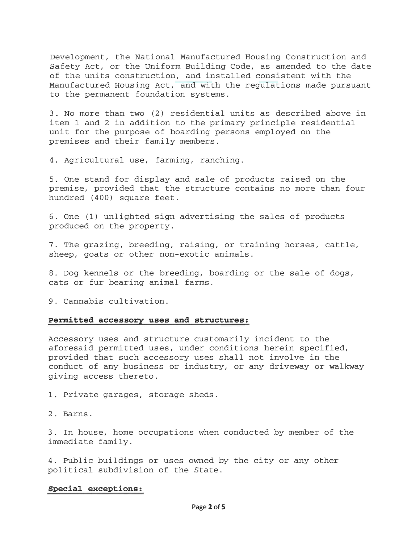Development, the National Manufactured Housing Construction and Safety Act, or the Uniform Building Code, as amended to the date of the units construction, and installed consistent with the Manufactured Housing Act, and with the regulations made pursuant to the permanent foundation systems.

3. No more than two (2) residential units as described above in item 1 and 2 in addition to the primary principle residential unit for the purpose of boarding persons employed on the premises and their family members.

4. Agricultural use, farming, ranching.

5. One stand for display and sale of products raised on the premise, provided that the structure contains no more than four hundred (400) square feet.

6. One (1) unlighted sign advertising the sales of products produced on the property.

7. The grazing, breeding, raising, or training horses, cattle, sheep, goats or other non-exotic animals.

8. Dog kennels or the breeding, boarding or the sale of dogs, cats or fur bearing animal farms.

9. Cannabis cultivation.

### Permitted accessory uses and structures:

Accessory uses and structure customarily incident to the aforesaid permitted uses, under conditions herein specified, provided that such accessory uses shall not involve in the conduct of any business or industry, or any driveway or walkway giving access thereto.

1. Private garages, storage sheds.

2. Barns.

3. In house, home occupations when conducted by member of the immediate family.

4. Public buildings or uses owned by the city or any other political subdivision of the State.

### Special exceptions: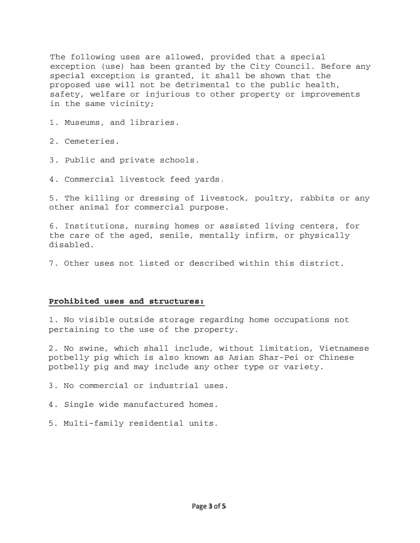The following uses are allowed, provided that a special exception (use) has been granted by the City Council. Before any special exception is granted, it shall be shown that the proposed use will not be detrimental to the public health, safety, welfare or injurious to other property or improvements in the same vicinity;

1. Museums, and libraries.

2. Cemeteries.

3. Public and private schools.

4. Commercial livestock feed yards.

5. The killing or dressing of livestock, poultry, rabbits or any other animal for commercial purpose.

6. Institutions, nursing homes or assisted living centers, for the care of the aged, senile, mentally infirm, or physically disabled.

7. Other uses not listed or described within this district.

### Prohibited uses and structures:

1. No visible outside storage regarding home occupations not pertaining to the use of the property.

2. No swine, which shall include, without limitation, Vietnamese potbelly pig which is also known as Asian Shar-Pei or Chinese potbelly pig and may include any other type or variety.

3. No commercial or industrial uses.

4. Single wide manufactured homes.

5. Multi-family residential units.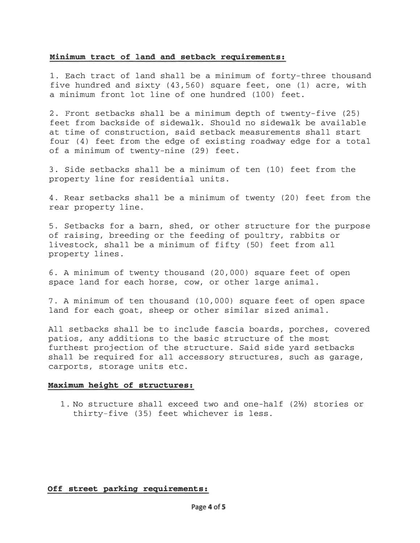### Minimum tract of land and setback requirements:

1. Each tract of land shall be a minimum of forty-three thousand five hundred and sixty  $(43, 560)$  square feet, one  $(1)$  acre, with a minimum front lot line of one hundred (100) feet.

2. Front setbacks shall be a minimum depth of twenty-five (25) feet from backside of sidewalk. Should no sidewalk be available at time of construction, said setback measurements shall start four (4) feet from the edge of existing roadway edge for a total of a minimum of twenty-nine (29) feet.

3. Side setbacks shall be a minimum of ten (10) feet from the property line for residential units.

4. Rear setbacks shall be a minimum of twenty (20) feet from the rear property line.

5. Setbacks for a barn, shed, or other structure for the purpose of raising, breeding or the feeding of poultry, rabbits or livestock, shall be a minimum of fifty (50) feet from all property lines.

6. A minimum of twenty thousand (20, 000) square feet of open space land for each horse, cow, or other large animal.

7. A minimum of ten thousand (10, 000) square feet of open space land for each goat, sheep or other similar sized animal.

All setbacks shall be to include fascia boards, porches, covered patios, any additions to the basic structure of the most furthest projection of the structure. Said side yard setbacks shall be required for all accessory structures, such as garage, carports, storage units etc.

### Maximum height of structures:

1. No structure shall exceed two and one-half  $(2<sup>1</sup>)$  stories or thirty-five (35) feet whichever is less.

### Off street parking requirements: